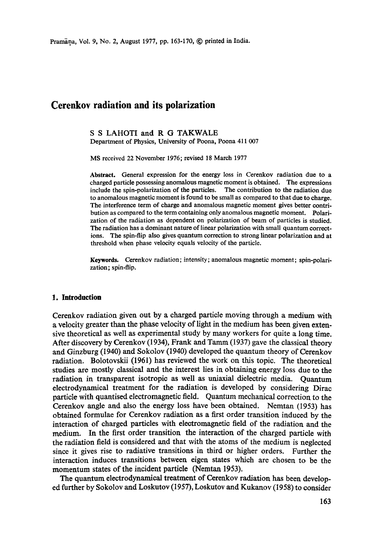# **Cerenkov radiation and its polarization**

# **S S** LAHOTI and **R G** TAKWALE

Department of Physics, University of Poona, Poona 411 007

MS received 22 November 1976; revised 18 March 1977

**Abstract.** General expression for the energy loss in Cerenkov radiation due to a charged particle possessing anomalous magnetic moment is obtained. The expressions include the spin-polarization of the particles. The contribution to the radiation due to anomalous magnetic moment is found to be small as compared to that due to charge. The interference term of charge and anomalous magnetic moment gives better contribution as compared to the term containing only anomalous magnetic moment. Polarization of the radiation as dependent on polarization of beam of particles is studied. The radiation has a dominant nature of linear polarization with small quantum corrections. The spin-flip also gives quantum correction to strong linear polarization and **at**  threshold when phase velocity equals velocity of the particle.

**Keywords.** Cerenkov radiation; intensity; anomalous magnetic moment; spin-polarization; spin-flip.

#### **1. Introduction**

Cerenkov radiation given out by a charged particle moving through a medium with a velocity greater than the phase velocity of light in the medium has been given extensive theoretical as well as experimental study by many workers for quite a long time. After discovery by Cerenkov (1934), Frank and Tamm (1937) gave the classical theory and Ginzburg (1940) and Sokolov (1940) developed the quantum theory of Cerenkov radiation. Bolotovskii (1961) has reviewed the work on this topic. The theoretieai studies are mostly classical and the interest lies in obtaining energy loss due to the radiation in transparent isotropic as well as tmiaxial dielectric media. Quantum electrodynamical treatment for the radiation is developed by considering Dirac particle with quantised electromagnetic field. Quantum mechanical correction to the Cerenkov angle and also the energy loss have been obtained. Nemtan (1953) has obtained formulae for Cerenkov radiation as a first order transition induced by the interaction of charged particles with electromagnetic field of the radiation and the medium. In the first order transition the interaction of the charged particle with the radiation field is considered and that with the atoms of the medium is neglected since it gives rise to radiative transitions in third or higher orders. Further the interaction induces transitions between eigen states which are chosen to be the momentum states of the incident particle (Nemtan 1953).

The quantum electrodynamical treatment of Cerenkov radiation has been developed further by Sokolov and Loskutov (1957), Loskutov and Kukanov (I958) to consider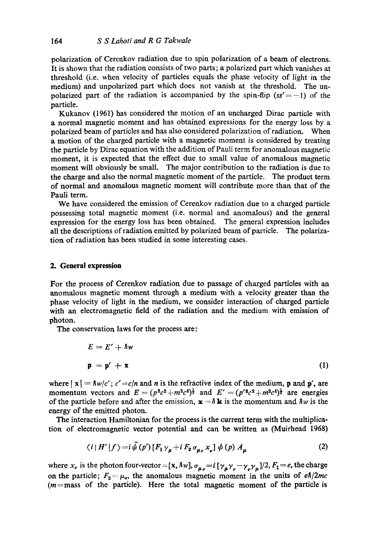polarization of Cerenkov radiation due to spin polarization of a beam of electrons. It is shown that the radiation consists of two parts; a polarized part which vanishes at threshold (i.e. when velocity of particles equals the phase velocity of light in the medium) and unpolarized part which does not vanish at the threshold. The unpolarized part of the radiation is accompanied by the spin-flip  $(s s' = -1)$  of the particle.

Kukanov (1961) has considered the motion of an uncharged Dirac particle with a normal magnetic moment and has obtained expressions for the energy loss by a polarized beam of particles and has also considered polarization of radiation. When a motion of the charged particle with a magnetic moment is considered by treating the particle by Dirac equation with the addition of Pauli term for anomalous magnetic moment, it is expected that the effect due to small value of anomalous magnetic moment will obviously be small. The major contribution to the radiation is due to the charge and also the normal magnetic moment of the particle. The product term of normal and anomalous magnetic moment will contribute more than that of the Pauli term.

We have considered the emission of Cerenkov radiation due to a charged particle possessing total magnetic moment (i.e. normal and anomalous) and the general expression for the energy loss has been obtained. The general expression includes all the descriptions of radiation emitted by polarized beam of particle. The polarization of radiation has been studied in some interesting cases.

## **2. General expression**

For the process of Cerenkov radiation due to passage of charged particles with an anomalous magnetic moment through a medium with a velocity greater than the phase velocity of light in the medium, we consider interaction of charged particle with an electromagnetic field of the radiation and the medium with emission of photon.

The conservation laws for the process are:

$$
E = E' + \hbar w
$$
  

$$
\mathbf{p} = \mathbf{p'} + \mathbf{x}
$$
 (1)

where  $\vert x \vert = \hbar w/c'$ ;  $c' = c/n$  and *n* is the refractive index of the medium, **p** and **p'**, are momentum vectors and  $E = (p^2c^2 + m^2c^4)^{\frac{1}{2}}$  and  $E' = (p'^2c^2 + m^2c^4)^{\frac{1}{2}}$  are energies of the particle before and after the emission,  $x = \hbar k$  is the momentum and  $\hbar w$  is the energy of the emitted photon.

The interaction Hamiltonian for the process is the current term with the multiplication of electromagnetic vector potential and can be written as (Muirhead 1968)

$$
\langle i | H' | f \rangle = i \bar{\psi} (p') [F_1 \gamma_\mu + i F_2 \sigma_{\mu\nu} x_\nu] \psi (p) A_\mu \tag{2}
$$

where  $x_{\nu}$  is the photon four-vector = [x,  $\hbar w$ ],  $\sigma_{\mu\nu}=i [\gamma_{\mu}\gamma_{\nu}-\gamma_{\nu}\gamma_{\mu}]/2, F_1=e$ , the charge on the particle;  $F_2 = \mu_a$ , the anomalous magnetic moment in the units of  $e\hbar/2mc$  $(m =$ mass of the particle). Here the total magnetic moment of the particle is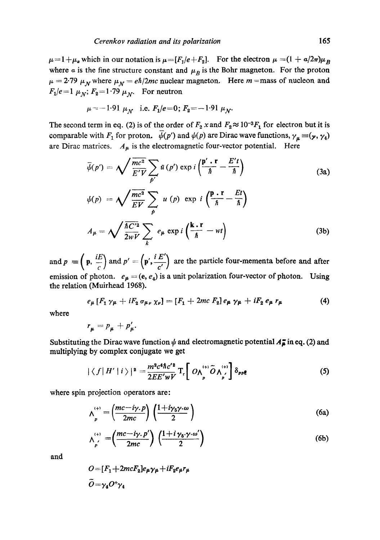$\mu=1+\mu_a$  which in our notation is  $\mu=[F_1/e+F_2]$ . For the electron  $\mu=(1 + \alpha/2\pi)\mu_B$ where a is the fine structure constant and  $\mu_B$  is the Bohr magneton. For the proton  $\mu = 2.79~\mu<sub>N</sub>$  where  $\mu<sub>N</sub> = e\hbar/2mc$  nuclear magneton. Here m =mass of nucleon and  $F_1/e=1~\mu_N$ ;  $F_2=1.79~\mu_N$ . For neutron

$$
\mu = -1.91 \mu_N
$$
 i.e.  $F_1/e = 0$ ;  $F_2 = -1.91 \mu_N$ .

The second term in eq. (2) is of the order of  $F_2$  x and  $F_2 \approx 10^{-3}F_1$  for electron but it is comparable with  $F_1$  for proton.  $\overline{\psi}(p')$  and  $\psi(p)$  are Dirac wave functions,  $\gamma_\mu \equiv (\gamma, \gamma_4)$ are Dirac matrices.  $A_{\mu}$  is the electromagnetic four-vector potential. Here

$$
\bar{\psi}(p') = \sqrt{\frac{mc^2}{E'V}} \sum_{p'} \bar{u}(p') \exp i\left(\frac{p' \cdot r}{\hbar} - \frac{E't}{\hbar}\right)
$$
\n
$$
\psi(p) = \sqrt{\frac{mc^2}{EV}} \sum_{p} u(p) \exp i\left(\frac{p \cdot r}{\hbar} - \frac{Et}{\hbar}\right)
$$
\n
$$
A_{\mu} = \sqrt{\frac{\hbar C'^2}{2wV}} \sum_{k} e_{\mu} \exp i\left(\frac{k \cdot r}{\hbar} - wt\right)
$$
\n(3b)

and  $p = (p, \frac{iE}{c})$  and  $p' = (p', \frac{iE'}{c'})$  are the particle four-mementa before and after emission of photon.  $e_{\mu} = (e, e_4)$  is a unit polarization four-vector of photon. Using the relation (Muirhead 1968).

$$
e_{\mu} [F_1 \gamma_{\mu} + i F_2 \sigma_{\mu\nu} \gamma_{\nu}] = [F_1 + 2mc F_2] e_{\mu} \gamma_{\mu} + i F_2 e_{\mu} r_{\mu} \qquad (4)
$$

where

$$
r_{\mu}=p_{\mu}+p'_{\mu}.
$$

Substituting the Dirac wave function  $\psi$  and electromagnetic potential  $A_{\mu}^{+}$  in eq. (2) and **multiplying by complex conjugate we get** 

$$
|\langle f|H'|i\rangle|^2 = \frac{m^2 c^4 \hbar c'^2}{2E E' w V} \mathrm{T}_{\mathrm{r}} \bigg[ O \wedge_{p}^{(+)} \widetilde{O} \wedge_{p'}^{(+)} \bigg] \delta_{pp} \underline{\mathbf{e}} \tag{5}
$$

where spin projection operators are:

$$
\Lambda_p^{(+)} = \left(\frac{mc - i\gamma \cdot p}{2mc}\right) \left(\frac{1 + i\gamma_5 \gamma \cdot \omega}{2}\right) \tag{6a}
$$

$$
\wedge_{p'}^{(+)} = \left(\frac{mc - i\gamma \cdot p'}{2mc}\right) \left(\frac{1 + i\gamma_5 \cdot \gamma \cdot \omega'}{2}\right) \tag{6b}
$$

**and** 

$$
O = [F1 + 2mcF2]e\mu\gamma_{\mu} + iF2e_{\mu}r_{\mu}
$$
  

$$
\tilde{O} = \gamma_4 O^+\gamma_4
$$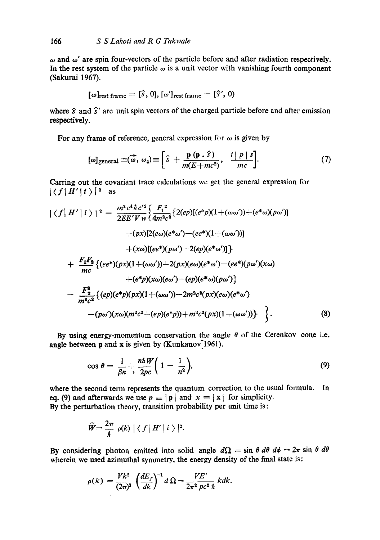$\omega$  and  $\omega'$  are spin four-vectors of the particle before and after radiation respectively. In the rest system of the particle  $\omega$  is a unit vector with vanishing fourth component (Sakurai 1967).

$$
[\omega]_{\text{rest frame}} = [\hat{s}, 0], [\omega']_{\text{rest frame}} = [\hat{s}', 0)
$$

where  $\hat{s}$  and  $\hat{s}'$  are unit spin vectors of the charged particle before and after emission respectively.

For any frame of reference, general expression for  $\omega$  is given by

$$
[\omega]_{\text{general}} \equiv (\overrightarrow{\omega}, \omega_4) \equiv \left[\hat{s} + \frac{\mathbf{p}(\mathbf{p} \cdot \hat{s})}{m(E + mc^2)}, \frac{i \mid p \mid s}{mc}\right]. \tag{7}
$$

Carring out the covariant trace calculations we get the general expression for  $|\langle f|H'|i\rangle|^2$  as

$$
|\langle f| H' | i \rangle|^2 = \frac{m^2 c^4 \hbar c'^2}{2E E' V w} \Big\{ \frac{F_1^2}{4m^2 c^2} \Big\{ 2(ep) [(e^*p)(1+(\omega\omega')) + (e^*\omega)(p\omega')] + (px) [2(e\omega)(e^*\omega') - (ee^*)(1+(\omega\omega'))] + (x\omega)[(ee^*)(p\omega') - 2(ep)(e^*\omega')] \Big\} + \frac{F_1 F_2}{mc} \Big\{ (ee^*)(px)(1+(\omega\omega')) + 2(px)(e\omega)(e^*\omega') - (ee^*)(p\omega')(x\omega) + (e^*p)(x\omega)(e\omega') - (ep)(e^*\omega)(p\omega') \Big\} - \frac{F_2^2}{m^2 c^2} \Big\{ (ep)(e^*p)(px)(1+(\omega\omega')) - 2m^2 c^2(px)(e\omega)(e^*\omega) - (p\omega')(x\omega)(m^2 c^2 + (ep)(e^*p)) + m^2 c^2(px)(1+(\omega\omega')) \Big\} \Big\}.
$$
 (8)

By using energy-momentum conservation the angle  $\theta$  of the Cerenkov cone i.e. angle between  $p$  and  $x$  is given by (Kunkanov $1961$ ).

$$
\cos \theta = \frac{1}{\beta n} + \frac{n \hbar W}{2pc} \bigg( 1 - \frac{1}{n^2} \bigg), \tag{9}
$$

where the second term represents the quantum correction to the usual formula. **In**  eq. (9) and afterwards we use  $p \equiv |\mathbf{p}|$  and  $x \equiv |\mathbf{x}|$  for simplicity. By the perturbation theory, transition probability per unit time is:

$$
\widetilde{W}=\frac{2\pi}{\hbar}\,\,\rho(k)\,\big|\,\big\langle\,f\,\big|\,H'\,\big|\,i\,\big\rangle\,\big|^2.
$$

By considering photon emitted into solid angle  $d\Omega = \sin \theta \, d\theta \, d\phi = 2\pi \sin \theta \, d\theta$ wherein we used azimuthal symmetry, the energy density of the final state is:

$$
\rho(k) = \frac{Vk^2}{(2\pi)^3} \left(\frac{dE_f}{dk}\right)^{-1} d\Omega = \frac{VE'}{2\pi^2 pc^2 \hbar} k dk.
$$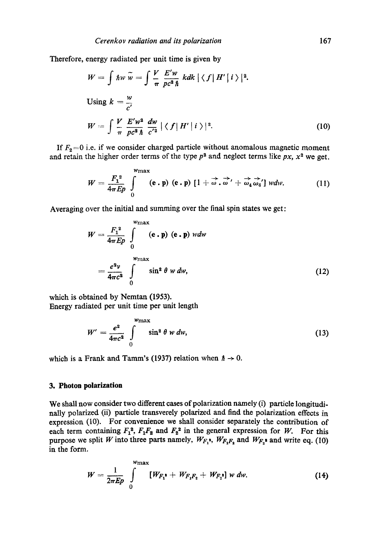Therefore, energy radiated per unit time is given by

$$
W = \int \hbar w \,\tilde{w} = \int \frac{V}{\pi} \frac{E'w}{pc^2 \,\hbar} \, kdk \, |\langle f| H' | i \rangle|^2.
$$
  
Using  $k = \frac{w}{c'}$   

$$
W = \int \frac{V}{\pi} \frac{E'w^2}{pc^2 \,\hbar} \, \frac{dw}{c'^2} \, |\langle f| H' | i \rangle|^2.
$$
 (10)

If  $F_2=0$  i.e. if we consider charged particle without anomalous magnetic moment and retain the higher order terms of the type  $p^2$  and neglect terms like  $px$ ,  $x^2$  we get.

$$
W = \frac{F_1^2}{4\pi E p} \int\limits_{0}^{w_{\text{max}}} (\mathbf{e} \cdot \mathbf{p}) (\mathbf{e} \cdot \mathbf{p}) [1 + \vec{\omega} \cdot \vec{\omega}' + \vec{\omega_4} \vec{\omega_4}'] w dw. \qquad (11)
$$

Averaging over the initial and summing over the final spin states we get:

$$
W = \frac{F_1^2}{4\pi E p} \int_0^{w_{\text{max}}} (\mathbf{e} \cdot \mathbf{p}) (\mathbf{e} \cdot \mathbf{p}) w dw
$$
  
= 
$$
\frac{e^2 v}{4\pi c^2} \int_0^{w_{\text{max}}} \sin^2 \theta w dw,
$$
 (12)

which is obtained by Nemtan (1953). Energy radiated per unit time per unit length

$$
W' = \frac{e^2}{4\pi c^2} \int\limits_{0}^{w_{\text{max}}} \sin^2 \theta \, w \, dw,\tag{13}
$$

which is a Frank and Tamm's (1937) relation when  $\hbar \rightarrow 0$ .

## **3. Photon polarization**

We shall now consider two different cases of polarization namely (i) particle longitudinally polarized (ii) particle transverely polarized and find the polarization effects in expression (10). For convenience we shall consider separately the contribution of each term containing  $F_1^2$ ,  $F_1F_2$  and  $F_2^2$  in the general expression for W. For this purpose we split *W* into three parts namely,  $W_{F_1}$ <sup>*i*</sup>,  $W_{F_1F_2}$  and  $W_{F_2}$ <sup>*i*</sup> and write eq. (10) in the form.

$$
W = \frac{1}{2\pi E p} \int_{0}^{w_{\text{max}}} [W_{F_1}^* + W_{F_1F_2} + W_{F_2}^*] w dw.
$$
 (14)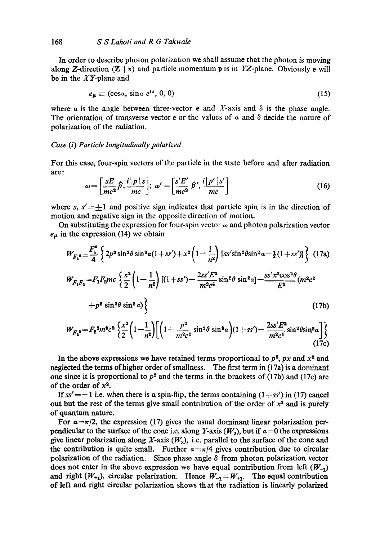In order to describe photon polarization we shall assume that the photon is moving along Z-direction (Z  $\parallel$  x) and particle momentum p is in YZ-plane. Obviously e will be in the XY-plane and

$$
e_{\mu} \equiv (\cos a, \sin a \ e^{i\delta}, 0, 0) \tag{15}
$$

where a is the angle between three-vector **e** and X-axis and  $\delta$  is the phase angle. The orientation of transverse vector e or the values of  $\alpha$  and  $\delta$  decide the nature of polarization of the radiation.

## *Case (i) Particle longitudinally polarized*

For this case, four-spin vectors of the particle in the state before and after radiation are:

$$
\omega = \left[\frac{sE}{mc^2}\hat{p}, \frac{i|p|s}{mc}\right]; \ \omega' = \left[\frac{s'E'}{mc^2}\hat{p}', \frac{i|p'|s'}{mc}\right]
$$
(16)

where s,  $s' = \pm 1$  and positive sign indicates that particle spin is in the direction of motion and negative sign in the opposite direction of motion.

On substituting the expression for four-spin vector  $\omega$  and photon polarization vector  $e_{\mu}$  in the expression (14) we obtain

$$
W_{F_1^*} = \frac{F_1^*}{4} \left\{ 2p^2 \sin^2 \theta \sin^2 a (1+s') + x^2 \left( 1 - \frac{1}{n^2} \right) \left[ s s' \sin^2 \theta \sin^2 a - \frac{1}{2} (1+s') \right] \right\} (17a)
$$
  
\n
$$
W_{F_1 F_2} = F_1 F_2 m c \left\{ \frac{x^2}{2} \left( 1 - \frac{1}{n^2} \right) \left[ (1+s s') - \frac{2s s' E^2}{m^2 c^4} \sin^2 \theta \sin^2 a \right] - \frac{s s' x^2 \cos^2 \theta}{E^2} (m^2 c^2 + p^2 \sin^2 \theta \sin^2 a) \right\}
$$
(17b)

$$
W_{F_2} = F_2^2 m^2 c^2 \left\{ \frac{x^2}{2} \left( 1 - \frac{1}{n^2} \right) \left[ \left( 1 + \frac{p^2}{m^2 c^2} \sin^2 \theta \sin^2 \alpha \right) (1 + ss') - \frac{2ss' E^2}{m^2 c^4} \sin^2 \theta \sin^2 \alpha \right] \right\}
$$
(17c)

In the above expressions we have retained terms proportional to  $p^2$ ,  $px$  and  $x^2$  and neglected the terms of higher order of smallness. The first term in (17a) is a dominant one since it is proportional to  $p^2$  and the terms in the brackets of (17b) and (17c) are of the order of  $x^2$ .

*If*  $ss'=-1$  i.e. when there is a spin-flip, the terms containing  $(1+ss')$  in (17) cancel out but the rest of the terms give small contribution of the order of  $x<sup>2</sup>$  and is purely of quantum nature.

For  $a = \pi/2$ , the expression (17) gives the usual dominant linear polarization perpendicular to the surface of the cone i.e. along Y-axis  $(W_2)$ , but if  $a=0$  the expressions give linear polarization along  $X$ -axis  $(W_3)$ , i.e. parallel to the surface of the cone and the contribution is quite small. Further  $a = \pi/4$  gives contribution due to circular polarization of the radiation. Since phase angle  $\delta$  from photon polarization vector does not enter in the above expression we have equal contribution from left  $(W_{-1})$ and right  $(W_{+1})$ , circular polarization. Hence  $W_{-1} = W_{+1}$ . The equal contribution of left and right circular polarization shows th at the radiation is linearly polarized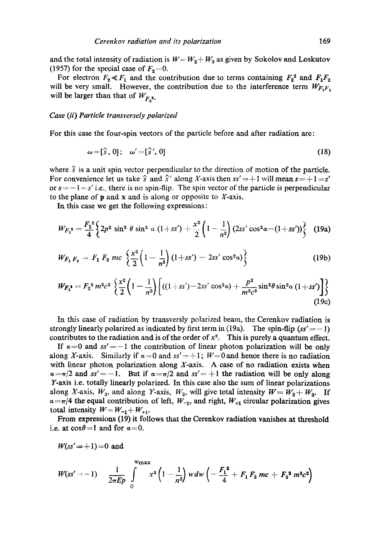and the total intensity of radiation is  $W = W_2 + W_3$  as given by Sokolov and Loskutov (1957) for the special case of  $F_2=0$ .

For electron  $F_2 \ll F_1$  and the contribution due to terms containing  $F_2^2$  and  $F_1F_2$ will be very small. However, the contribution due to the interference term  $W_{F,F_s}$ will be larger than that of  $W_{F,2}$ ,

#### *Case (ii) Particle transversely polarized*

For this case the four-spin vectors of the particle before and after radiation are:

$$
\omega = [\hat{s}, 0]; \quad \omega' = [\hat{s}', 0]
$$
 (18)

where  $\hat{s}$  is a unit spin vector perpendicular to the direction of motion of the particle. For convenience let us take  $\hat{s}$  and  $\hat{s}'$  along X-axis then  $ss' = +1$  will mean  $s = +1 = s'$ or  $s=-1=s'$  i.e., there is no spin-flip. The spin vector of the particle is perpendicular to the plane of  $\bf{p}$  and  $\bf{x}$  and is along or opposite to  $\bf{Y}\text{-axis.}$ 

In this case we get the following expressions:

$$
W_{F_1}^* = \frac{F_1^2}{4} \left\{ 2p^2 \sin^2 \theta \sin^2 \alpha (1+sS') + \frac{x^2}{2} \left(1-\frac{1}{n^2}\right) (2ss' \cos^2 \alpha - (1+sS')) \right\}
$$
 (19a)

$$
W_{F_1 F_2} = F_1 F_2 mc \left\{ \frac{x^2}{2} \left( 1 - \frac{1}{n^2} \right) (1 + ss') - 2ss' \cos^2 \alpha \right\}
$$
 (19b)

$$
W_{F_2^*} = F_2^2 m^2 c^2 \left\{ \frac{x^2}{2} \left( 1 - \frac{1}{n^2} \right) \left[ ((1 + ss') - 2ss' \cos^2 \alpha) + \frac{p^2}{m^2 c^2} \sin^2 \theta \sin^2 \alpha (1 + ss') \right] \right\}
$$
(19c)

In this case of radiation by transversly polarized beam, the Cerenkov radiation is strongly linearly polarized as indicated by first term in  $(19a)$ . The spin-flip  $(s s' = -1)$ contributes to the radiation and is of the order of  $x^2$ . This is purely a quantum effect.

If  $a=0$  and  $ss'=-1$  the contribution of linear photon polarization will be only along X-axis. Similarly if  $\alpha = 0$  and  $ss' = +1$ ;  $W = 0$  and hence there is no radiation with linear photon polarization along  $X$ -axis. A case of no radiation exists when  $a = \pi/2$  and  $ss' = -1$ . But if  $a = \pi/2$  and  $ss' = +1$  the radiation will be only along Y-axis i.e. totally linearly polarized. In this case also the sum of linear polarizations along X-axis,  $W_3$ , and along Y-axis,  $W_2$ , will give total intensity  $W = W_2 + W_3$ . If  $a=\pi/4$  the equal contribution of left,  $W_{-1}$ , and right,  $W_{+1}$  circular polarization gives total intensity  $W = W_{-1} + W_{+1}$ .

From expressions (19) it follows that the Cerenkov radiation vanishes at threshold i.e. at  $\cos\theta=1$  and for  $\alpha=0$ .

$$
W(ss' = +1) = 0
$$
 and

$$
W(ss'-1) \quad \frac{1}{2\pi E p} \int\limits_{0}^{w_{\max}} x^2 \left(1-\frac{1}{n^2}\right) w dw \left(-\frac{F_1^2}{4}+F_1 F_2 mc+F_2^2 m^2 c^2\right)
$$